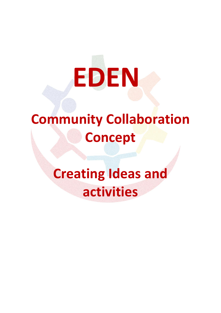# **EDEN**

## **Community Collaboration Concept**

# **Creating Ideas and activities**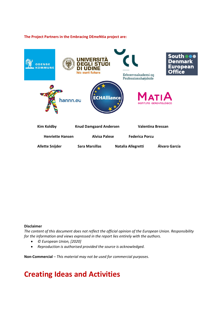#### **The Project Partners in the Embracing DEmeNtia project are:**



#### **Disclaimer**

*The content of this document does not reflect the official opinion of the European Union. Responsibility for the information and views expressed in the report lies entirely with the authors.*

- *© European Union, [2020]*
- *Reproduction is authorised provided the source is acknowledged.*

**Non-Commercial** – *This material may not be used for commercial purposes*.

### **Creating Ideas and Activities**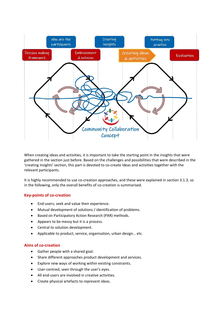

When creating ideas and activities, it is important to take the starting point in the insights that were gathered in the section just before. Based on the challenges and possibilities that were described in the 'creating insights' section, this part is devoted to co-create ideas and activities together with the relevant participants.

It is highly recommended to use co-creation approaches, and these were explained in section 3.1.3, so in the following, only the overall benefits of co-creation is summarised.

#### **Key-points of co-creation**

- End-users; seek and value their experience.
- Mutual development of solutions / identification of problems.
- Based on Participatory Action Research (PAR) methods.
- Appears to be messy but it is a process.
- Central to solution development.
- Applicable to product, service, organisation, urban design… etc.

#### **Aims of co-creation**

- Gather people with a shared goal.
- Share different approaches product development and services.
- Explore new ways of working within existing constraints.
- User-centred; seen through the user's eyes.
- All end-users are involved in creative activities.
- Create physical artefacts to represent ideas.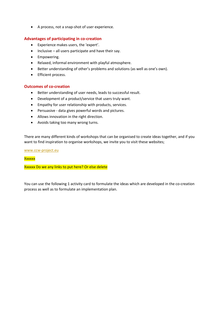A process, not a snap-shot of user experience.

#### **Advantages of participating in co-creation**

- Experience makes users, the 'expert'.
- $\bullet$  Inclusive all users participate and have their say.
- Empowering.
- Relaxed, informal environment with playful atmosphere.
- Better understanding of other's problems and solutions (as well as one's own).
- **•** Efficient process.

#### **Outcomes of co-creation**

- Better understanding of user needs, leads to successful result.
- Development of a product/service that users truly want.
- Empathy for user relationship with products, services.
- Persuasive data gives powerful words and pictures.
- Allows innovation in the right direction.
- Avoids taking too many wrong turns.

There are many different kinds of workshops that can be organised to create ideas together, and if you want to find inspiration to organise workshops, we invite you to visit these websites;

[www.ccw-project.eu](http://www.ccw-project.eu/)

#### **Xxxxxx**

Xxxxxx Do we any links to put here? Or else delete

You can use the following 1 activity card to formulate the ideas which are developed in the co-creation process as well as to formulate an implementation plan.